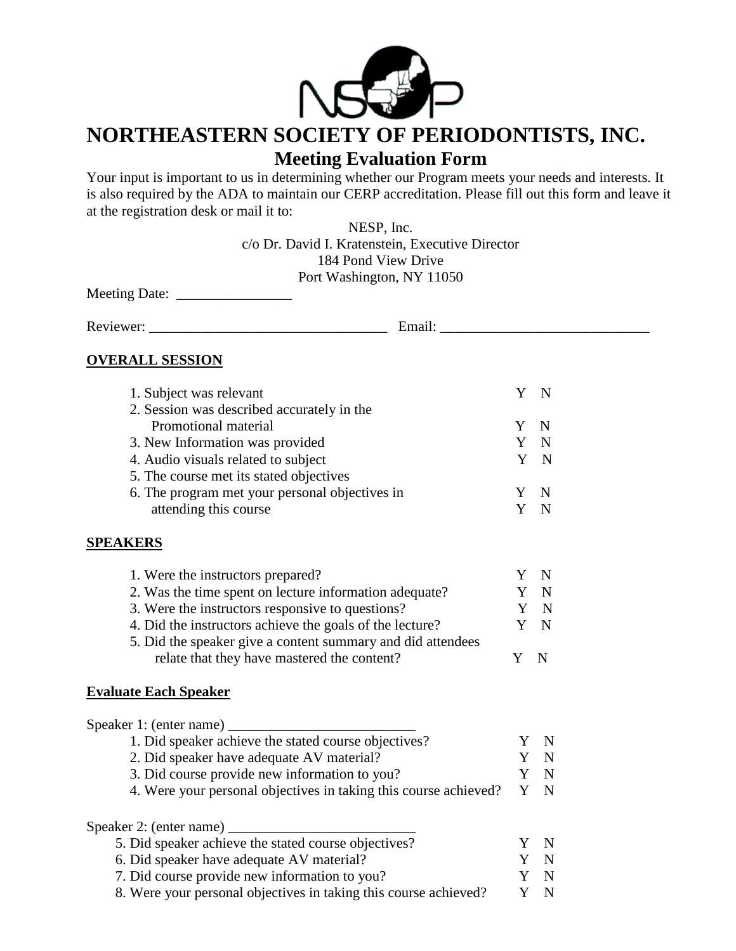

## **NORTHEASTERN SOCIETY OF PERIODONTISTS, INC. Meeting Evaluation Form**

Your input is important to us in determining whether our Program meets your needs and interests. It is also required by the ADA to maintain our CERP accreditation. Please fill out this form and leave it at the registration desk or mail it to:

> NESP, Inc. c/o Dr. David I. Kratenstein, Executive Director 184 Pond View Drive Port Washington, NY 11050

Meeting Date: \_\_\_\_\_\_\_\_\_\_\_\_\_\_\_\_

Reviewer: \_\_\_\_\_\_\_\_\_\_\_\_\_\_\_\_\_\_\_\_\_\_\_\_\_\_\_\_\_\_\_\_\_ Email: \_\_\_\_\_\_\_\_\_\_\_\_\_\_\_\_\_\_\_\_\_\_\_\_\_\_\_\_\_

## **OVERALL SESSION**

| 1. Subject was relevant                                |    |     |
|--------------------------------------------------------|----|-----|
| 2. Session was described accurately in the             |    |     |
| Promotional material                                   |    | - N |
| 3. New Information was provided                        | Y  | -N  |
| 4. Audio visuals related to subject                    |    | Y N |
| 5. The course met its stated objectives                |    |     |
| 6. The program met your personal objectives in         |    | -N  |
| attending this course                                  |    | N   |
| <b>SPEAKERS</b>                                        |    |     |
| 1. Were the instructors prepared?                      |    | N   |
| 2. Was the time spent on lecture information adequate? |    |     |
| 3 Were the instructors responsive to questions?        | V. | N   |

| 3. Were the instructors responsive to questions?            |   | Y N |
|-------------------------------------------------------------|---|-----|
| 4. Did the instructors achieve the goals of the lecture?    |   | Y N |
| 5. Did the speaker give a content summary and did attendees |   |     |
| relate that they have mastered the content?                 | Y | - N |

## **Evaluate Each Speaker**

| Speaker 1: (enter name)                                          |          |
|------------------------------------------------------------------|----------|
| 1. Did speaker achieve the stated course objectives?             |          |
| 2. Did speaker have adequate AV material?                        |          |
| 3. Did course provide new information to you?                    |          |
| 4. Were your personal objectives in taking this course achieved? |          |
| Speaker 2: (enter name)                                          |          |
| 5. Did speaker achieve the stated course objectives?             | $\Delta$ |
| 6. Did speaker have adequate AV material?                        |          |
| 7. Did course provide new information to you?                    |          |
| 8. Were your personal objectives in taking this course achieved? |          |